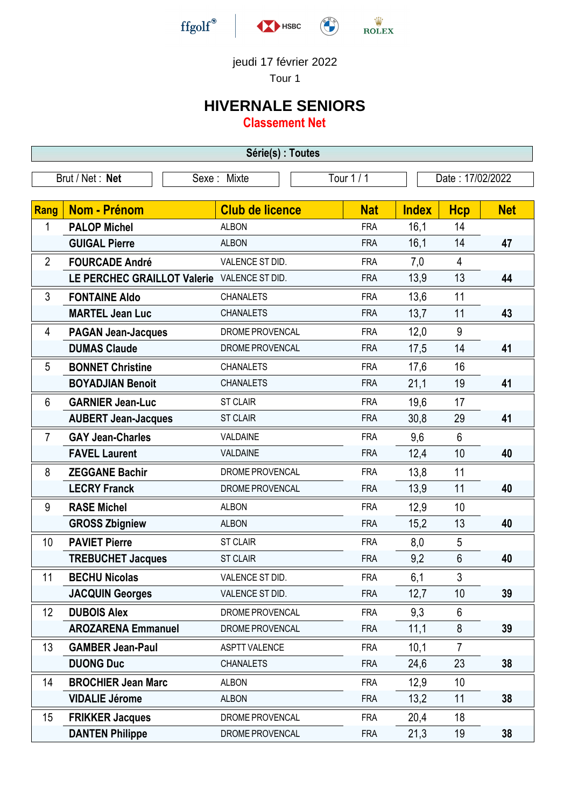

## jeudi 17 février 2022

Tour 1

## **HIVERNALE SENIORS**

**Classement Net**

| Série(s) : Toutes |                                             |                        |            |                  |                |            |  |
|-------------------|---------------------------------------------|------------------------|------------|------------------|----------------|------------|--|
|                   | Brut / Net: Net                             | Sexe: Mixte            | Tour $1/1$ | Date: 17/02/2022 |                |            |  |
|                   |                                             |                        |            |                  |                |            |  |
| <b>Rang</b>       | <b>Nom - Prénom</b>                         | <b>Club de licence</b> | <b>Nat</b> | <b>Index</b>     | <b>Hcp</b>     | <b>Net</b> |  |
| 1                 | <b>PALOP Michel</b>                         | <b>ALBON</b>           | <b>FRA</b> | 16,1             | 14             |            |  |
|                   | <b>GUIGAL Pierre</b>                        | <b>ALBON</b>           | <b>FRA</b> | 16,1             | 14             | 47         |  |
| $\overline{2}$    | <b>FOURCADE André</b>                       | VALENCE ST DID.        | <b>FRA</b> | 7,0              | $\overline{4}$ |            |  |
|                   | LE PERCHEC GRAILLOT Valerie VALENCE ST DID. |                        | <b>FRA</b> | 13,9             | 13             | 44         |  |
| 3                 | <b>FONTAINE Aldo</b>                        | <b>CHANALETS</b>       | <b>FRA</b> | 13,6             | 11             |            |  |
|                   | <b>MARTEL Jean Luc</b>                      | <b>CHANALETS</b>       | <b>FRA</b> | 13,7             | 11             | 43         |  |
| 4                 | <b>PAGAN Jean-Jacques</b>                   | DROME PROVENCAL        | <b>FRA</b> | 12,0             | 9              |            |  |
|                   | <b>DUMAS Claude</b>                         | DROME PROVENCAL        | <b>FRA</b> | 17,5             | 14             | 41         |  |
| 5                 | <b>BONNET Christine</b>                     | <b>CHANALETS</b>       | <b>FRA</b> | 17,6             | 16             |            |  |
|                   | <b>BOYADJIAN Benoit</b>                     | <b>CHANALETS</b>       | <b>FRA</b> | 21,1             | 19             | 41         |  |
| 6                 | <b>GARNIER Jean-Luc</b>                     | <b>ST CLAIR</b>        | <b>FRA</b> | 19,6             | 17             |            |  |
|                   | <b>AUBERT Jean-Jacques</b>                  | <b>ST CLAIR</b>        | <b>FRA</b> | 30,8             | 29             | 41         |  |
| $\overline{7}$    | <b>GAY Jean-Charles</b>                     | VALDAINE               | <b>FRA</b> | 9,6              | $6\phantom{1}$ |            |  |
|                   | <b>FAVEL Laurent</b>                        | VALDAINE               | <b>FRA</b> | 12,4             | 10             | 40         |  |
| 8                 | <b>ZEGGANE Bachir</b>                       | DROME PROVENCAL        | <b>FRA</b> | 13,8             | 11             |            |  |
|                   | <b>LECRY Franck</b>                         | DROME PROVENCAL        | <b>FRA</b> | 13,9             | 11             | 40         |  |
| 9                 | <b>RASE Michel</b>                          | <b>ALBON</b>           | <b>FRA</b> | 12,9             | 10             |            |  |
|                   | <b>GROSS Zbigniew</b>                       | <b>ALBON</b>           | <b>FRA</b> | 15,2             | 13             | 40         |  |
| 10                | <b>PAVIET Pierre</b>                        | <b>ST CLAIR</b>        | <b>FRA</b> | 8,0              | 5              |            |  |
|                   | <b>TREBUCHET Jacques</b>                    | <b>ST CLAIR</b>        | <b>FRA</b> | 9,2              | 6              | 40         |  |
| 11                | <b>BECHU Nicolas</b>                        | VALENCE ST DID.        | <b>FRA</b> | 6,1              | $\mathfrak{Z}$ |            |  |
|                   | <b>JACQUIN Georges</b>                      | VALENCE ST DID.        | <b>FRA</b> | 12,7             | 10             | 39         |  |
| 12                | <b>DUBOIS Alex</b>                          | DROME PROVENCAL        | <b>FRA</b> | 9,3              | 6              |            |  |
|                   | <b>AROZARENA Emmanuel</b>                   | DROME PROVENCAL        | <b>FRA</b> | 11,1             | 8              | 39         |  |
| 13                | <b>GAMBER Jean-Paul</b>                     | <b>ASPTT VALENCE</b>   | <b>FRA</b> | 10,1             | $\overline{7}$ |            |  |
|                   | <b>DUONG Duc</b>                            | <b>CHANALETS</b>       | <b>FRA</b> | 24,6             | 23             | 38         |  |
| 14                | <b>BROCHIER Jean Marc</b>                   | <b>ALBON</b>           | <b>FRA</b> | 12,9             | 10             |            |  |
|                   | <b>VIDALIE Jérome</b>                       | <b>ALBON</b>           | <b>FRA</b> | 13,2             | 11             | 38         |  |
| 15                | <b>FRIKKER Jacques</b>                      | DROME PROVENCAL        | <b>FRA</b> | 20,4             | 18             |            |  |
|                   | <b>DANTEN Philippe</b>                      | DROME PROVENCAL        | <b>FRA</b> | 21,3             | 19             | 38         |  |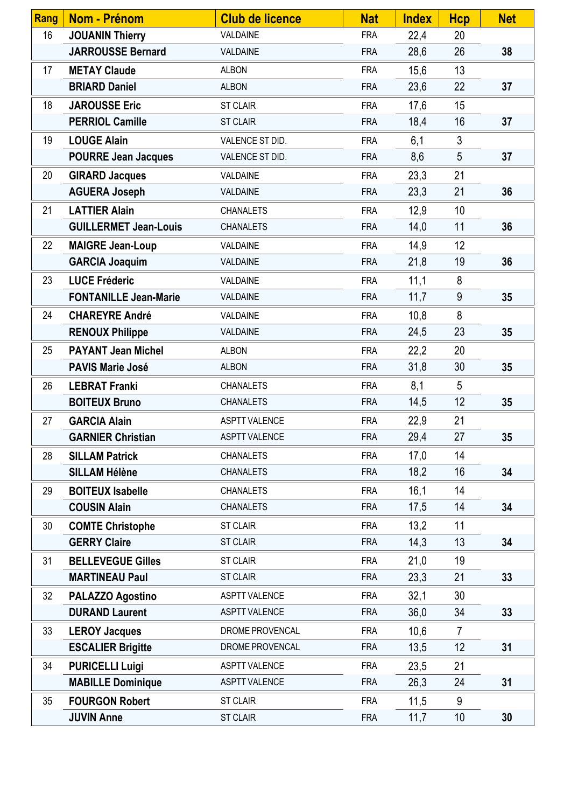| Rang | Nom - Prénom                 | <b>Club de licence</b> | <b>Nat</b> | <b>Index</b> | <b>Hcp</b>     | <b>Net</b> |
|------|------------------------------|------------------------|------------|--------------|----------------|------------|
| 16   | <b>JOUANIN Thierry</b>       | VALDAINE               | <b>FRA</b> | 22,4         | 20             |            |
|      | <b>JARROUSSE Bernard</b>     | VALDAINE               | <b>FRA</b> | 28,6         | 26             | 38         |
| 17   | <b>METAY Claude</b>          | <b>ALBON</b>           | <b>FRA</b> | 15,6         | 13             |            |
|      | <b>BRIARD Daniel</b>         | <b>ALBON</b>           | <b>FRA</b> | 23,6         | 22             | 37         |
| 18   | <b>JAROUSSE Eric</b>         | <b>ST CLAIR</b>        | <b>FRA</b> | 17,6         | 15             |            |
|      | <b>PERRIOL Camille</b>       | <b>ST CLAIR</b>        | <b>FRA</b> | 18,4         | 16             | 37         |
| 19   | <b>LOUGE Alain</b>           | VALENCE ST DID.        | <b>FRA</b> | 6,1          | $\mathfrak{Z}$ |            |
|      | <b>POURRE Jean Jacques</b>   | VALENCE ST DID.        | <b>FRA</b> | 8,6          | 5              | 37         |
| 20   | <b>GIRARD Jacques</b>        | VALDAINE               | <b>FRA</b> | 23,3         | 21             |            |
|      | <b>AGUERA Joseph</b>         | VALDAINE               | <b>FRA</b> | 23,3         | 21             | 36         |
| 21   | <b>LATTIER Alain</b>         | <b>CHANALETS</b>       | <b>FRA</b> | 12,9         | 10             |            |
|      | <b>GUILLERMET Jean-Louis</b> | <b>CHANALETS</b>       | <b>FRA</b> | 14,0         | 11             | 36         |
| 22   | <b>MAIGRE Jean-Loup</b>      | VALDAINE               | <b>FRA</b> | 14,9         | 12             |            |
|      | <b>GARCIA Joaquim</b>        | VALDAINE               | <b>FRA</b> | 21,8         | 19             | 36         |
| 23   | <b>LUCE Fréderic</b>         | VALDAINE               | <b>FRA</b> | 11,1         | 8              |            |
|      | <b>FONTANILLE Jean-Marie</b> | VALDAINE               | <b>FRA</b> | 11,7         | 9              | 35         |
| 24   | <b>CHAREYRE André</b>        | VALDAINE               | <b>FRA</b> | 10,8         | 8              |            |
|      | <b>RENOUX Philippe</b>       | VALDAINE               | <b>FRA</b> | 24,5         | 23             | 35         |
| 25   | <b>PAYANT Jean Michel</b>    | <b>ALBON</b>           | <b>FRA</b> | 22,2         | 20             |            |
|      | <b>PAVIS Marie José</b>      | <b>ALBON</b>           | <b>FRA</b> | 31,8         | 30             | 35         |
| 26   | <b>LEBRAT Franki</b>         | <b>CHANALETS</b>       | <b>FRA</b> | 8,1          | 5              |            |
|      | <b>BOITEUX Bruno</b>         | <b>CHANALETS</b>       | <b>FRA</b> | 14,5         | 12             | 35         |
| 27   | <b>GARCIA Alain</b>          | <b>ASPTT VALENCE</b>   | <b>FRA</b> | 22,9         | 21             |            |
|      | <b>GARNIER Christian</b>     | <b>ASPTT VALENCE</b>   | <b>FRA</b> | 29,4         | 27             | 35         |
| 28   | <b>SILLAM Patrick</b>        | <b>CHANALETS</b>       | <b>FRA</b> | 17,0         | 14             |            |
|      | <b>SILLAM Hélène</b>         | <b>CHANALETS</b>       | <b>FRA</b> | 18,2         | 16             | 34         |
| 29   | <b>BOITEUX Isabelle</b>      | <b>CHANALETS</b>       | <b>FRA</b> | 16,1         | 14             |            |
|      | <b>COUSIN Alain</b>          | <b>CHANALETS</b>       | <b>FRA</b> | 17,5         | 14             | 34         |
| 30   | <b>COMTE Christophe</b>      | <b>ST CLAIR</b>        | <b>FRA</b> | 13,2         | 11             |            |
|      | <b>GERRY Claire</b>          | <b>ST CLAIR</b>        | <b>FRA</b> | 14,3         | 13             | 34         |
| 31   | <b>BELLEVEGUE Gilles</b>     | <b>ST CLAIR</b>        | <b>FRA</b> | 21,0         | 19             |            |
|      | <b>MARTINEAU Paul</b>        | <b>ST CLAIR</b>        | <b>FRA</b> | 23,3         | 21             | 33         |
| 32   | PALAZZO Agostino             | <b>ASPTT VALENCE</b>   | <b>FRA</b> | 32,1         | 30             |            |
|      | <b>DURAND Laurent</b>        | <b>ASPTT VALENCE</b>   | <b>FRA</b> | 36,0         | 34             | 33         |
| 33   | <b>LEROY Jacques</b>         | DROME PROVENCAL        | <b>FRA</b> | 10,6         | $\overline{7}$ |            |
|      | <b>ESCALIER Brigitte</b>     | DROME PROVENCAL        | <b>FRA</b> | 13,5         | 12             | 31         |
| 34   | <b>PURICELLI Luigi</b>       | <b>ASPTT VALENCE</b>   | <b>FRA</b> | 23,5         | 21             |            |
|      | <b>MABILLE Dominique</b>     | <b>ASPTT VALENCE</b>   | <b>FRA</b> | 26,3         | 24             | 31         |
| 35   | <b>FOURGON Robert</b>        | <b>ST CLAIR</b>        | <b>FRA</b> | 11,5         | 9              |            |
|      | <b>JUVIN Anne</b>            | <b>ST CLAIR</b>        | <b>FRA</b> | 11,7         | 10             | 30         |